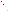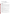# **Technical Factsheet on: LINDANE**

## [List of Contaminants](http://www.epa.gov/safewater/hfacts.html)

 As part of the Drinking Water and Health pages, this fact sheet is part of a larger publication: **National Primary Drinking Water Regulations** 

 HAL(child): 1 to 10 day: 1 mg/L; Longer term: 0.03 mg/L Drinking Water Standards MCLG: 0.0002 mg/L MCL: 0.0002 mg/L

## **Health Effects Summary**

 levels above the MCL. High body temperature and pulmonary edema have been reported in children with Acute: EPA has found lindane to potentially cause nervous system effects from short-term exposures at acute exposures.

 consuming 1 liter of water per day, a one- to ten-day exposure to 1 mg/L or a longer term exposure to Drinking water levels which are considered "safe" for short-term exposures: For a 10-kg (22 lb.) child 0.03 mg/L.

 above the MCL. Chronic: Lindane has the potential to cause liver and kidney damage from long-term exposure at levels

 Cancer: There is inadequate evidence to state whether or not lindane has the potential to cause cancer from lifetime exposures in drinking water.

## **Usage Patterns**

 Most uses being restricted in 1983, lindane is currently used primarily for treating wood-inhabiting beetles vegetables, timber, ornamentals and for wood protection. and seeds. It is also used as a dip for livestock, for soil treatment, on the foliage of fruit and nut trees,

#### **Release Patterns**

Lindane enters surface water as a result of runoff from agricultural land and from home and garden applications where it is used as an insecticide.

 Data from the early 1980's reported mean loadings in treated wastewater in kg/day as follows: coal mining - 0.0081, foundries - 0.02 and nonferrous metals manufacturing - 0.0004.

From 1987 to 1993, according to EPA's Toxics Release Inventory, lindane releases to land and water totalled 1115 lbs.

## **Environmental Fate**

When released to water, lindane is not expected to volatilize significantly. The volatilization half-life of lindane from water at a depth of 1 meter was estimated to be 115 to 191 days. However, experimental volatilization half-life of lindane in very shallow, turbulent waters was 1.5 days.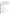It is not expected to biodegrade or hydrolyze in most surface waters. Lindane released to acidic or neutral water is not expected to hydrolyze significantly, but in basic water, significant hydrolysis may occur.

 Lindane may slowly biodegrade in aerobic media and will rapidly degrade under anaerobic conditions. Lindane has been reported to photodegrade in water in spite of the lack of a photoreactive center, but photolysis is not considered to be a major environmental fate process. Transport to the sediment should be slow and result predominantly from diffusion rather than settling.

Release of lindane to soil will most likely result in volatilization from the soil surface, but not from greater depths. A mean Koc of 1080.9 was obtained from Koc determinations on three soils(1). The average organic carbon content of the soils used was 13%(1). Based on this moderate Koc value and a water solubility of 17 ppm(2), lindane is expected to leach slowly to groundwater.

 bioconcentrate slightly in fish. Bioconcentration factors of 16 to 1600 are reported for a variety of Lindane in the atmosphere is likely to be subject to rain-out and dry deposition. The estimated half-life for the reaction of vapor phase lindane with atmospheric hydroxyl radicals is 1.63 days. Lindane will molluscs, crustaceans and fish.

### **Chemical/ Physical Properties**

CAS Number: 58-89-9

Color/ Form/Odor: White crystalline solid

M.P.: 112.5 C B.P.: 323.4 C

Vapor Pressure: 9.4x10-6 mm Hg @ 25 C<br>Density/Spec. Grav.: 1.85

Octanol/Water Partition (Kow): Log Kow = 3.72 to 3.61

Solubility: 7.3 mg/L of water at 25 C; Slightly soluble in water<br>Soil sorption coefficient: average Koc = 1081; low soil mobility

Soil sorption coefficient: average Koc = 1081; low soil mobility

Odor/Taste Thresholds: N/A

Bioconcentration Factor: 319 to 1613 reported in fish; some potential to bioaccumulate.

Henry's Law Coefficient: N/A

 Forlin, Gallogamma, Gammaphex, Inexit, Kwell, Lindagranox, Lindaterra, Lovigram, Silvanol Trade Names/Synonyms: Benzene hexachloride-gamma, gamma-Hexachlorocyclohexane, Exagamma,

#### **Other Regulatory Information**

Monitoring For Ground/Surface Water Sources:

 Initial Frequency- 4 quarterly samples every 3 years Repeat Frequency- If no detections during initial round: 2 quarterly per year if serving >3300 persons;